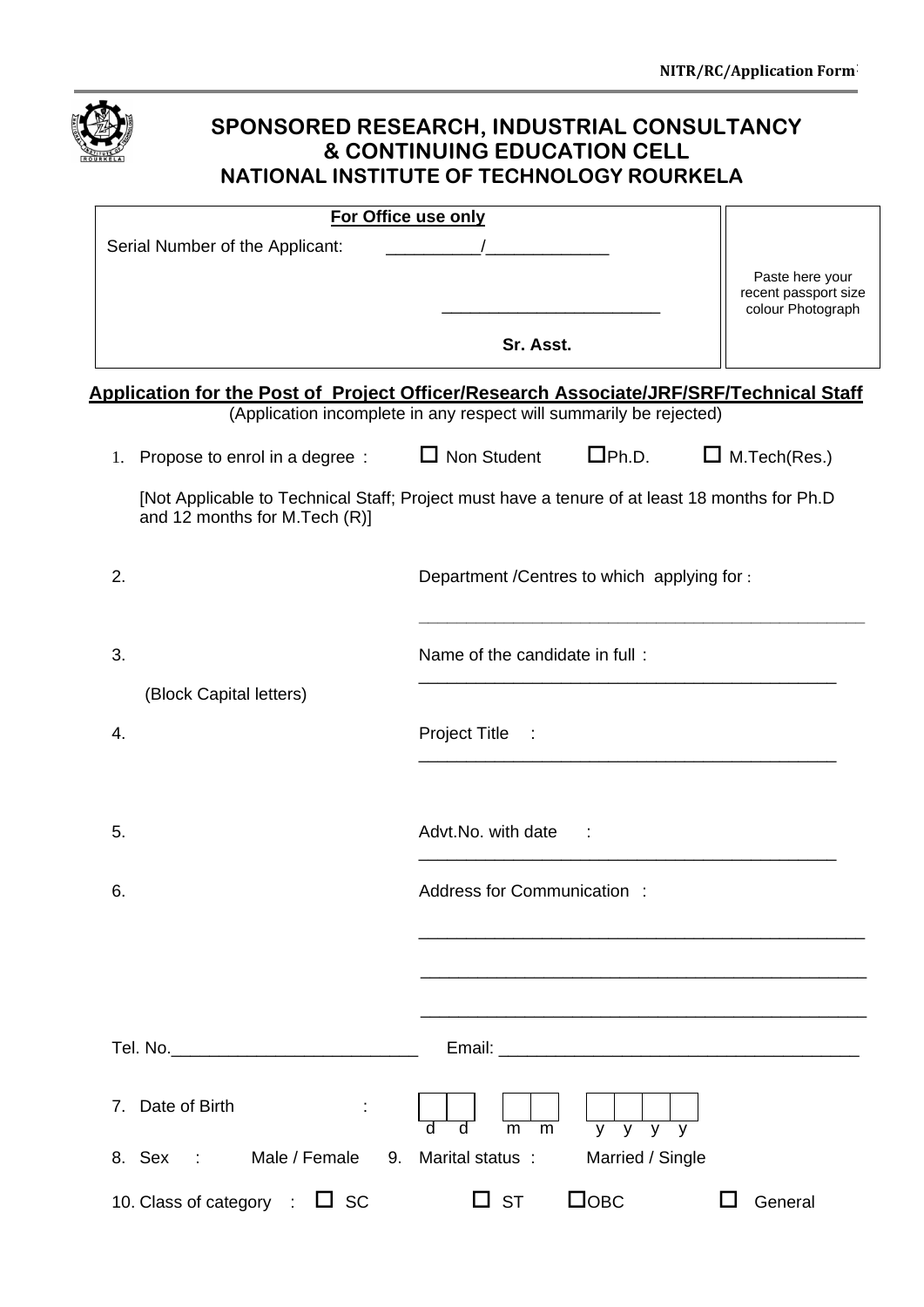| SPONSORED RESEARCH, INDUSTRIAL CONSULTANCY<br><b>&amp; CONTINUING EDUCATION CELL</b><br>NATIONAL INSTITUTE OF TECHNOLOGY ROURKELA |                                                                                               |                                         |  |  |  |
|-----------------------------------------------------------------------------------------------------------------------------------|-----------------------------------------------------------------------------------------------|-----------------------------------------|--|--|--|
|                                                                                                                                   | For Office use only                                                                           |                                         |  |  |  |
| Serial Number of the Applicant:                                                                                                   |                                                                                               |                                         |  |  |  |
|                                                                                                                                   |                                                                                               | Paste here your<br>recent passport size |  |  |  |
|                                                                                                                                   |                                                                                               | colour Photograph                       |  |  |  |
|                                                                                                                                   | Sr. Asst.                                                                                     |                                         |  |  |  |
| <b>Application for the Post of Project Officer/Research Associate/JRF/SRF/Technical Staff</b>                                     | (Application incomplete in any respect will summarily be rejected)                            |                                         |  |  |  |
| 1. Propose to enrol in a degree : $\Box$ Non Student                                                                              | $\Box$ Ph.D.                                                                                  | $\Box$ M. Tech (Res.)                   |  |  |  |
| and 12 months for M.Tech (R)]                                                                                                     | [Not Applicable to Technical Staff; Project must have a tenure of at least 18 months for Ph.D |                                         |  |  |  |
| 2.                                                                                                                                | Department / Centres to which applying for :                                                  |                                         |  |  |  |
| 3.                                                                                                                                | Name of the candidate in full:                                                                |                                         |  |  |  |
| (Block Capital letters)                                                                                                           |                                                                                               |                                         |  |  |  |
| 4.                                                                                                                                | Project Title                                                                                 |                                         |  |  |  |
| 5.                                                                                                                                | Advt.No. with date                                                                            |                                         |  |  |  |
| 6.                                                                                                                                | Address for Communication:                                                                    |                                         |  |  |  |
|                                                                                                                                   |                                                                                               |                                         |  |  |  |
|                                                                                                                                   |                                                                                               |                                         |  |  |  |
|                                                                                                                                   |                                                                                               |                                         |  |  |  |
| 7. Date of Birth                                                                                                                  | $\overline{V}$<br>$\overline{V}$<br>$\overline{y}$<br>m<br>m<br>V<br>d                        |                                         |  |  |  |
| Male / Female<br>8. Sex :                                                                                                         | 9. Marital status :<br>Married / Single                                                       |                                         |  |  |  |
| 10. Class of category $\Box$ SC                                                                                                   | $\Box$ OBC<br>$\square$ st                                                                    | General                                 |  |  |  |